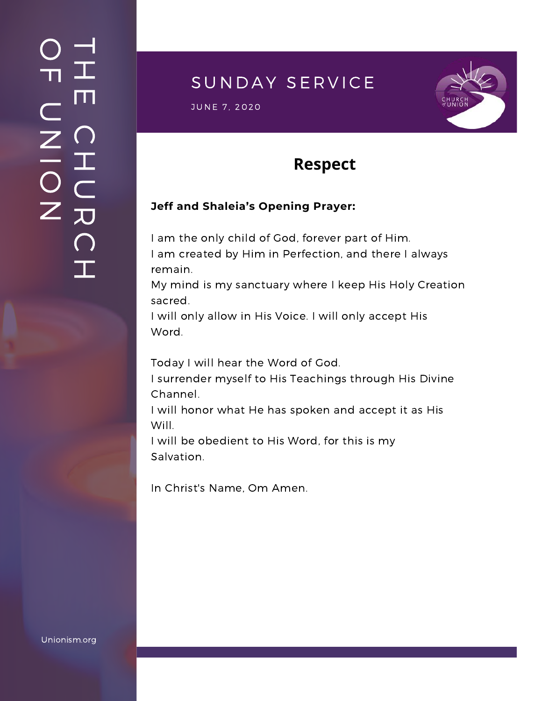### $\overline{\phantom{a}}$ H m.  $\bigcap$ H  $\subset$ 刀  $\bigcap$  $\mathbf{I}$  .  $\bigcirc$  $\blacksquare$  $\subset$  $\mathsf{Z}^+$ <u>In the Second Contract of the Second Contract of the International Second Contract of the International Second Contract of the International Second Contract of the International Second Contract of the International Second</u>  $\bigcirc$  $\mathsf{Z}^+$

## SUNDAY SERVICE

S UNE 7, 2020<br>JUNE 7, 2020



# **Respect**

#### **Jeff and Shaleia's Opening Prayer:**

I am the only child of God, forever part of Him. I am created by Him in Perfection, and there I always remain.

My mind is my sanctuary where I keep His Holy Creation sacred.

I will only allow in His Voice. I will only accept His Word.

Today I will hear the Word of God.

I surrender myself to His Teachings through His Divine Channel.

I will honor what He has spoken and accept it as His Will.

I will be obedient to His Word, for this is my Salvation.

In Christ's Name, Om Amen.